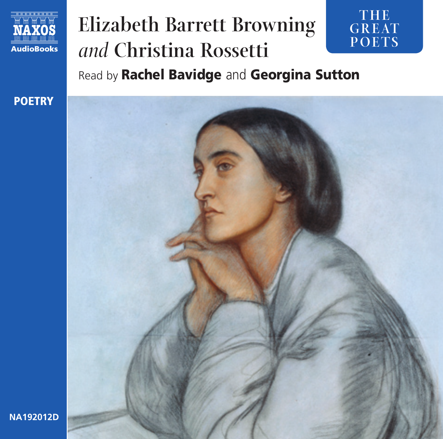

### **Elizabeth Barrett Browning**  *and* **Christina Rossetti**  Read by Rachel Bavidge and Georgina Sutton **GREAT POETS**

**TH E** 



**NA192012D**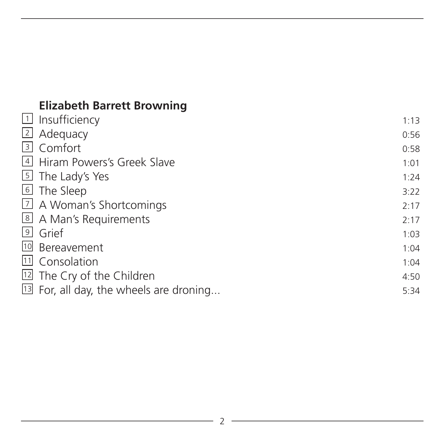# **Elizabeth Barrett Browning**

| $\Box$ Insufficiency                      | 1:13 |
|-------------------------------------------|------|
| $\overline{2}$ Adequacy                   | 0:56 |
| 3 Comfort                                 | 0:58 |
| 4 Hiram Powers's Greek Slave              | 1:01 |
| 5 The Lady's Yes                          | 1:24 |
| 6 The Sleep                               | 3:22 |
| 7 A Woman's Shortcomings                  | 2:17 |
| 8 A Man's Requirements                    | 2:17 |
| <sup>9</sup> Grief                        | 1:03 |
| 10 Bereavement                            | 1:04 |
| 11 Consolation                            | 1:04 |
| <sup>12</sup> The Cry of the Children     | 4:50 |
| $13$ For, all day, the wheels are droning | 5:34 |
|                                           |      |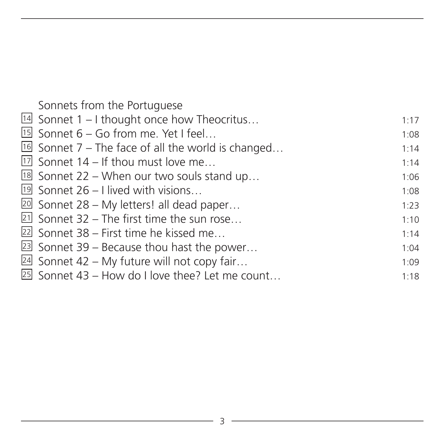| Sonnets from the Portuguese                            |      |
|--------------------------------------------------------|------|
| <sup>14</sup> Sonnet 1 – I thought once how Theocritus | 1:17 |
| <sup>15</sup> Sonnet 6 - Go from me. Yet I feel        | 1:08 |
| $16$ Sonnet 7 – The face of all the world is changed   | 1:14 |
| $\boxed{17}$ Sonnet 14 – If thou must love me          | 1:14 |
| $\boxed{18}$ Sonnet 22 – When our two souls stand up   | 1:06 |
| <sup>19</sup> Sonnet 26 - I lived with visions         | 1:08 |
| $20$ Sonnet 28 – My letters! all dead paper            | 1:23 |
| 21 Sonnet 32 - The first time the sun rose             | 1:10 |
| 22 Sonnet 38 - First time he kissed me                 | 1:14 |
| $23$ Sonnet 39 – Because thou hast the power           | 1:04 |
| $24$ Sonnet 42 – My future will not copy fair          | 1:09 |
| 25 Sonnet 43 - How do I love thee? Let me count        | 1:18 |
|                                                        |      |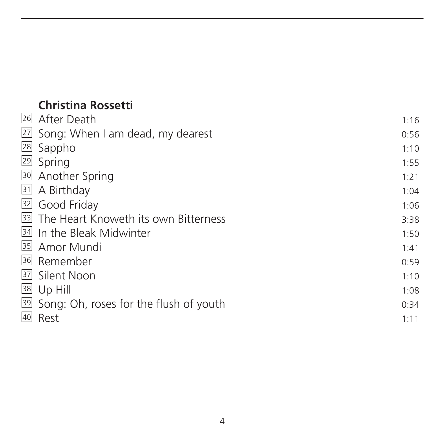# **Christina Rossetti**

| 26 After Death                            | 1:16 |
|-------------------------------------------|------|
| 27 Song: When I am dead, my dearest       | 0:56 |
| 28 Sappho                                 | 1:10 |
| 29 Spring                                 | 1:55 |
| 30 Another Spring                         | 1:21 |
| 31 A Birthday                             | 1:04 |
| 32 Good Friday                            | 1:06 |
| 33 The Heart Knoweth its own Bitterness   | 3:38 |
| 34 In the Bleak Midwinter                 | 1:50 |
| 35 Amor Mundi                             | 1:41 |
| 36 Remember                               | 0:59 |
| 37 Silent Noon                            | 1:10 |
| $\overline{38}$ Up Hill                   | 1:08 |
| 39 Song: Oh, roses for the flush of youth | 0:34 |
| 40 Rest                                   | 1:11 |
|                                           |      |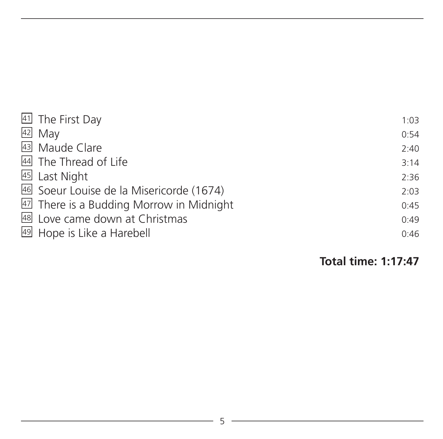| 41 The First Day                         | 1:03 |
|------------------------------------------|------|
| $42$ May                                 | 0:54 |
| 43 Maude Clare                           | 2:40 |
| 44 The Thread of Life                    | 3:14 |
| 45 Last Night                            | 2:36 |
| 46 Soeur Louise de la Misericorde (1674) | 2:03 |
| 47 There is a Budding Morrow in Midnight | 0:45 |
| 48 Love came down at Christmas           | 0:49 |
| 49 Hope is Like a Harebell               | 0:46 |
|                                          |      |

**Total time: 1:17:47**

<u> 1980 - Johann Barbara, martxa al</u>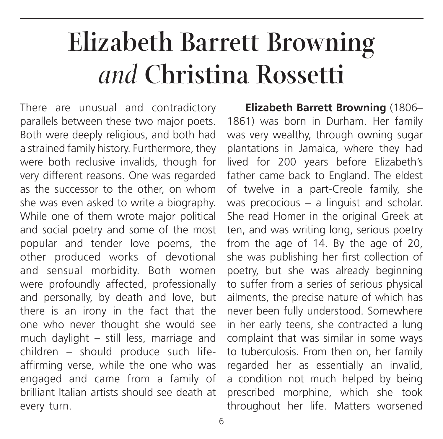# **Elizabeth Barrett Browning**  *and* **Christina Rossetti**

There are unusual and contradictory parallels between these two major poets. Both were deeply religious, and both had a strained family history. Furthermore, they were both reclusive invalids, though for very different reasons. One was regarded as the successor to the other, on whom she was even asked to write a biography. While one of them wrote major political and social poetry and some of the most popular and tender love poems, the other produced works of devotional and sensual morbidity. Both women were profoundly affected, professionally and personally, by death and love, but there is an irony in the fact that the one who never thought she would see much daylight – still less, marriage and children – should produce such lifeaffirming verse, while the one who was engaged and came from a family of brilliant Italian artists should see death at every turn.

**Elizabeth Barrett Browning** (1806– 1861) was born in Durham. Her family was very wealthy, through owning sugar plantations in Jamaica, where they had lived for 200 years before Elizabeth's father came back to England. The eldest of twelve in a part-Creole family, she was precocious – a linguist and scholar. She read Homer in the original Greek at ten, and was writing long, serious poetry from the age of 14. By the age of 20, she was publishing her first collection of poetry, but she was already beginning to suffer from a series of serious physical ailments, the precise nature of which has never been fully understood. Somewhere in her early teens, she contracted a lung complaint that was similar in some ways to tuberculosis. From then on, her family regarded her as essentially an invalid, a condition not much helped by being prescribed morphine, which she took throughout her life. Matters worsened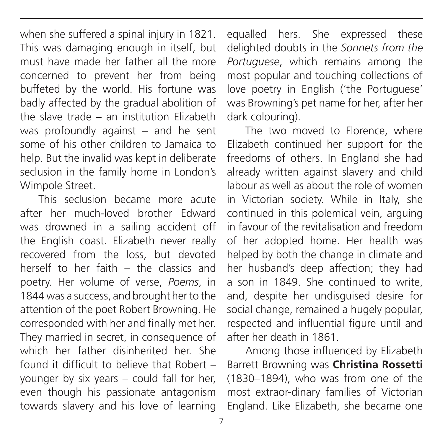when she suffered a spinal injury in 1821. This was damaging enough in itself, but must have made her father all the more concerned to prevent her from being buffeted by the world. His fortune was badly affected by the gradual abolition of the slave trade – an institution Elizabeth was profoundly against – and he sent some of his other children to Jamaica to help. But the invalid was kept in deliberate seclusion in the family home in London's Wimpole Street.

This seclusion became more acute after her much-loved brother Edward was drowned in a sailing accident off the English coast. Elizabeth never really recovered from the loss, but devoted herself to her faith – the classics and poetry. Her volume of verse, *Poems*, in 1844 was a success, and brought her to the attention of the poet Robert Browning. He corresponded with her and finally met her. They married in secret, in consequence of which her father disinherited her. She found it difficult to believe that Robert – younger by six years – could fall for her, even though his passionate antagonism towards slavery and his love of learning

equalled hers. She expressed these delighted doubts in the *Sonnets from the Portuguese*, which remains among the most popular and touching collections of love poetry in English ('the Portuguese' was Browning's pet name for her, after her dark colouring).

The two moved to Florence, where Elizabeth continued her support for the freedoms of others. In England she had already written against slavery and child labour as well as about the role of women in Victorian society. While in Italy, she continued in this polemical vein, arguing in favour of the revitalisation and freedom of her adopted home. Her health was helped by both the change in climate and her husband's deep affection; they had a son in 1849. She continued to write, and, despite her undisguised desire for social change, remained a hugely popular, respected and influential figure until and after her death in 1861.

Among those influenced by Elizabeth Barrett Browning was **Christina Rossetti** (1830–1894), who was from one of the most extraor-dinary families of Victorian England. Like Elizabeth, she became one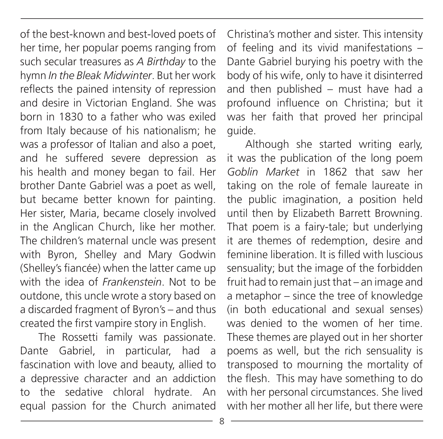of the best-known and best-loved poets of her time, her popular poems ranging from such secular treasures as *A Birthday* to the hymn *In the Bleak Midwinter*. But her work reflects the pained intensity of repression and desire in Victorian England. She was born in 1830 to a father who was exiled from Italy because of his nationalism; he was a professor of Italian and also a poet, and he suffered severe depression as his health and money began to fail. Her brother Dante Gabriel was a poet as well, but became better known for painting. Her sister, Maria, became closely involved in the Anglican Church, like her mother. The children's maternal uncle was present with Byron, Shelley and Mary Godwin (Shelley's fiancée) when the latter came up with the idea of *Frankenstein*. Not to be outdone, this uncle wrote a story based on a discarded fragment of Byron's – and thus created the first vampire story in English.

The Rossetti family was passionate. Dante Gabriel, in particular, had a fascination with love and beauty, allied to a depressive character and an addiction to the sedative chloral hydrate. An equal passion for the Church animated Christina's mother and sister. This intensity of feeling and its vivid manifestations – Dante Gabriel burying his poetry with the body of his wife, only to have it disinterred and then published – must have had a profound influence on Christina; but it was her faith that proved her principal guide.

Although she started writing early, it was the publication of the long poem *Goblin Market* in 1862 that saw her taking on the role of female laureate in the public imagination, a position held until then by Elizabeth Barrett Browning. That poem is a fairy-tale; but underlying it are themes of redemption, desire and feminine liberation. It is filled with luscious sensuality; but the image of the forbidden fruit had to remain just that – an image and a metaphor – since the tree of knowledge (in both educational and sexual senses) was denied to the women of her time. These themes are played out in her shorter poems as well, but the rich sensuality is transposed to mourning the mortality of the flesh. This may have something to do with her personal circumstances. She lived with her mother all her life, but there were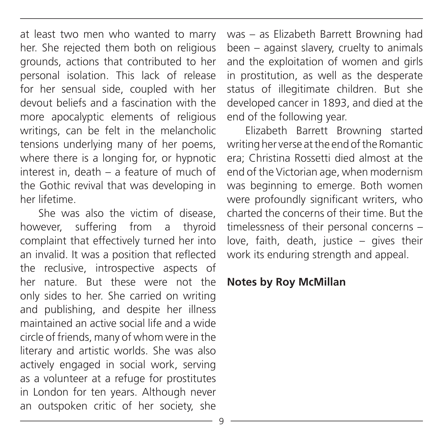at least two men who wanted to marry her. She rejected them both on religious grounds, actions that contributed to her personal isolation. This lack of release for her sensual side, coupled with her devout beliefs and a fascination with the more apocalyptic elements of religious writings, can be felt in the melancholic tensions underlying many of her poems, where there is a longing for, or hypnotic interest in, death – a feature of much of the Gothic revival that was developing in her lifetime.

She was also the victim of disease however, suffering from a thyroid complaint that effectively turned her into an invalid. It was a position that reflected the reclusive, introspective aspects of her nature. But these were not the only sides to her. She carried on writing and publishing, and despite her illness maintained an active social life and a wide circle of friends, many of whom were in the literary and artistic worlds. She was also actively engaged in social work, serving as a volunteer at a refuge for prostitutes in London for ten years. Although never an outspoken critic of her society, she

was – as Elizabeth Barrett Browning had been – against slavery, cruelty to animals and the exploitation of women and girls in prostitution, as well as the desperate status of illegitimate children. But she developed cancer in 1893, and died at the end of the following year.

Elizabeth Barrett Browning started writing her verse at the end of the Romantic era; Christina Rossetti died almost at the end of the Victorian age, when modernism was beginning to emerge. Both women were profoundly significant writers, who charted the concerns of their time. But the timelessness of their personal concerns – love, faith, death, justice – gives their work its enduring strength and appeal.

#### **Notes by Roy McMillan**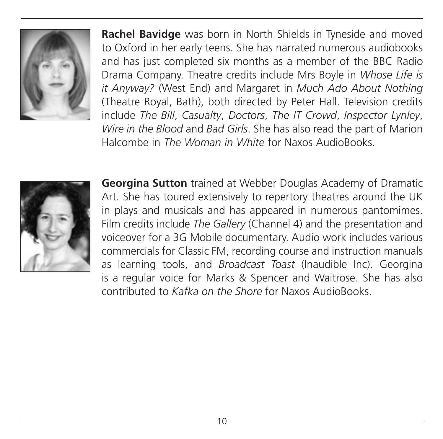

**Rachel Bavidge** was born in North Shields in Tyneside and moved to Oxford in her early teens. She has narrated numerous audiobooks and has just completed six months as a member of the BBC Radio Drama Company. Theatre credits include Mrs Boyle in *Whose Life is it Anyway?* (West End) and Margaret in *Much Ado About Nothing* (Theatre Royal, Bath), both directed by Peter Hall. Television credits include *The Bill*, *Casualty*, *Doctors*, *The IT Crowd*, *Inspector Lynley*, *Wire in the Blood* and *Bad Girls*. She has also read the part of Marion Halcombe in *The Woman in White* for Naxos AudioBooks.



**Georgina Sutton** trained at Webber Douglas Academy of Dramatic Art. She has toured extensively to repertory theatres around the UK in plays and musicals and has appeared in numerous pantomimes. Film credits include *The Gallery* (Channel 4) and the presentation and voiceover for a 3G Mobile documentary. Audio work includes various commercials for Classic FM, recording course and instruction manuals as learning tools, and *Broadcast Toast* (Inaudible Inc). Georgina is a regular voice for Marks & Spencer and Waitrose. She has also contributed to *Kafka on the Shore* for Naxos AudioBooks.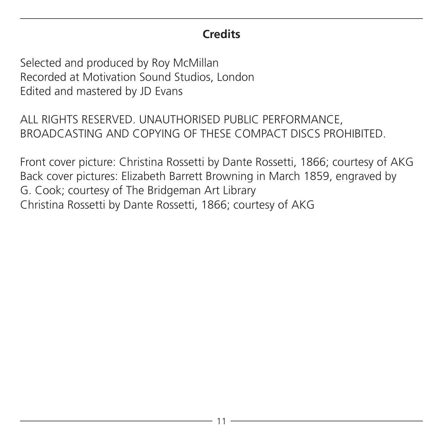## **Credits**

Selected and produced by Roy McMillan Recorded at Motivation Sound Studios, London Edited and mastered by JD Evans

ALL RIGHTS RESERVED. UNAUTHORISED PUBLIC PERFORMANCE, BROADCASTING AND COPYING OF THESE COMPACT DISCS PROHIBITED.

Front cover picture: Christina Rossetti by Dante Rossetti, 1866; courtesy of AKG Back cover pictures: Elizabeth Barrett Browning in March 1859, engraved by G. Cook; courtesy of The Bridgeman Art Library Christina Rossetti by Dante Rossetti, 1866; courtesy of AKG